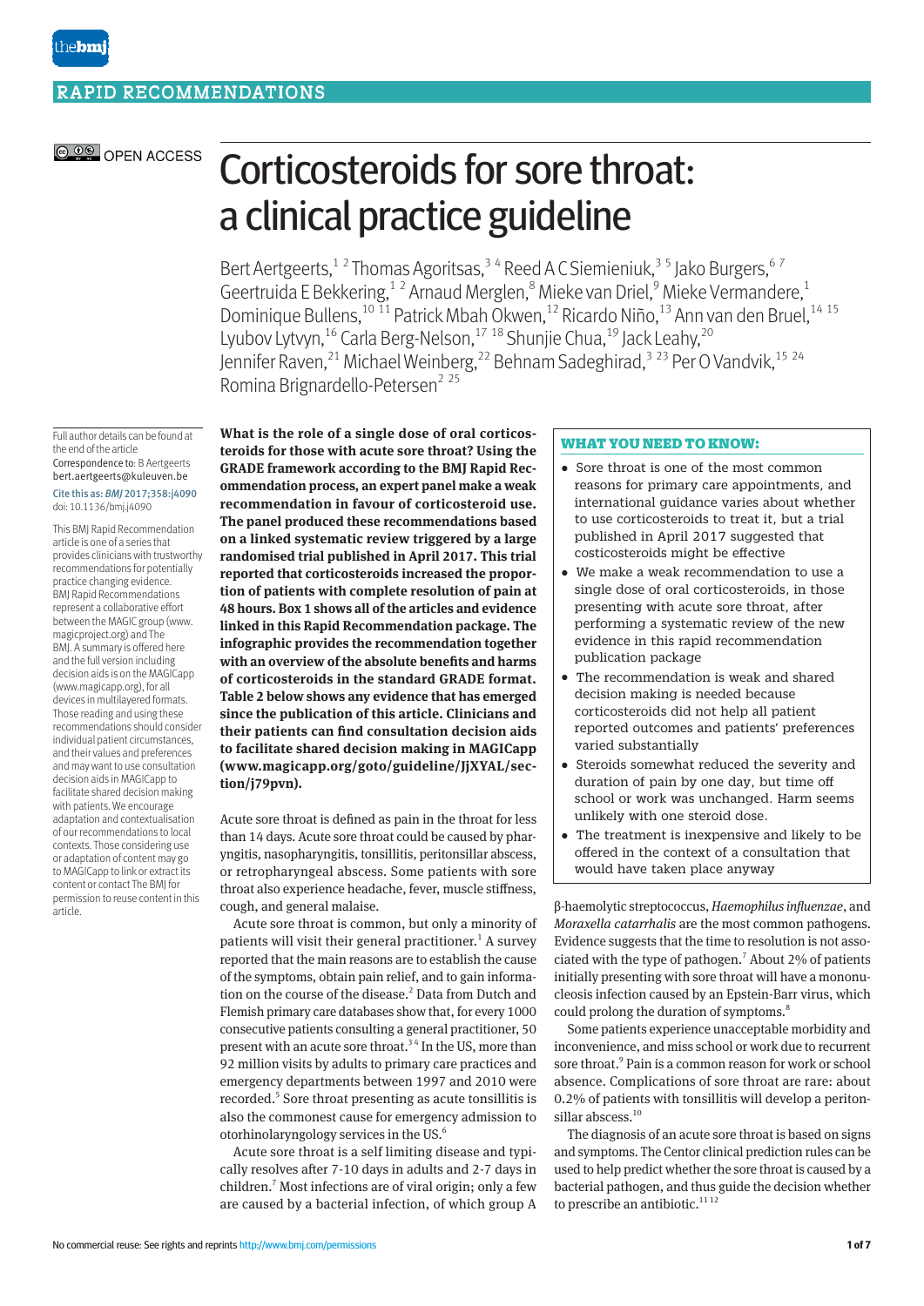# RAPID RECOMMENDATIONS

**© 0 ©** OPEN ACCESS

# Corticosteroids for sore throat: a clinical practice guideline

Bert Aertgeerts,<sup>12</sup> Thomas Agoritsas,<sup>34</sup> Reed A C Siemieniuk,<sup>35</sup> Jako Burgers,<sup>67</sup> Geertruida E Bekkering,<sup>12</sup> Arnaud Merglen,<sup>8</sup> Mieke van Driel,<sup>9</sup> Mieke Vermandere,<sup>1</sup> Dominique Bullens,<sup>10 11</sup> Patrick Mbah Okwen,<sup>12</sup> Ricardo Niño,<sup>13</sup> Ann van den Bruel,<sup>14 15</sup> Lyubov Lytvyn,<sup>16</sup> Carla Berg-Nelson,<sup>17 18</sup> Shunjie Chua,<sup>19</sup> Jack Leahy,<sup>20</sup> Jennifer Raven, $^{21}$  Michael Weinberg, $^{22}$  Behnam Sadeghirad, $^{3}$   $^{23}$  Per O Vandvik, $^{15}$   $^{24}$ Romina Brignardello-Petersen<sup>2 25</sup>

Full author details can be found at the end of the article Correspondence to: B Aertgeerts bert.aertgeerts@kuleuven.be

#### Cite this as: *BMJ* 2017;358:j4090 doi: 10.1136/bmj.j4090

This BMJ Rapid Recommendation article is one of a series that provides clinicians with trustworthy recommendations for potentially practice changing evidence. BMJ Rapid Recommendations represent a collaborative effort between the MAGIC group (www. magicproject.org) and The BMJ. A summary is offered here and the full version including decision aids is on the MAGICapp (www.magicapp.org), for all devices in multilayered formats. Those reading and using these recommendations should consider individual patient circumstances, and their values and preferences and may want to use consultation decision aids in MAGICapp to facilitate shared decision making with patients. We encourage adaptation and contextualisation of our recommendations to local contexts. Those considering use or adaptation of content may go to MAGICapp to link or extract its content or contact The BMJ for permission to reuse content in this article.

**What is the role of a single dose of oral corticosteroids for those with acute sore throat? Using the GRADE framework according to the BMJ Rapid Recommendation process, an expert panel make a weak recommendation in favour of corticosteroid use. The panel produced these recommendations based on a linked systematic review triggered by a large randomised trial published in April 2017. This trial reported that corticosteroids increased the proportion of patients with complete resolution of pain at 48 hours. Box 1 shows all of the articles and evidence linked in this Rapid Recommendation package. The infographic provides the recommendation together with an overview of the absolute benefits and harms of corticosteroids in the standard GRADE format. Table 2 below shows any evidence that has emerged since the publication of this article. Clinicians and their patients can find consultation decision aids to facilitate shared decision making in MAGICapp (www.magicapp.org/goto/guideline/JjXYAL/section/j79pvn).**

Acute sore throat is defined as pain in the throat for less than 14 days. Acute sore throat could be caused by pharyngitis, nasopharyngitis, tonsillitis, peritonsillar abscess, or retropharyngeal abscess. Some patients with sore throat also experience headache, fever, muscle stiffness, cough, and general malaise.

Acute sore throat is common, but only a minority of patients will visit their general practitioner.<sup>1</sup> A survey reported that the main reasons are to establish the cause of the symptoms, obtain pain relief, and to gain information on the course of the disease.<sup>2</sup> Data from Dutch and Flemish primary care databases show that, for every 1000 consecutive patients consulting a general practitioner, 50 present with an acute sore throat.<sup>34</sup> In the US, more than 92 million visits by adults to primary care practices and emergency departments between 1997 and 2010 were recorded.<sup>5</sup> Sore throat presenting as acute tonsillitis is also the commonest cause for emergency admission to otorhinolaryngology services in the US.6

Acute sore throat is a self limiting disease and typically resolves after 7-10 days in adults and 2-7 days in children.<sup>7</sup> Most infections are of viral origin; only a few are caused by a bacterial infection, of which group A

# WHAT YOU NEED TO KNOW:

- •  Sore throat is one of the most common reasons for primary care appointments, and international guidance varies about whether to use corticosteroids to treat it, but a trial published in April 2017 suggested that costicosteroids might be effective
- •  We make a weak recommendation to use a single dose of oral corticosteroids, in those presenting with acute sore throat, after performing a systematic review of the new evidence in this rapid recommendation publication package
- The recommendation is weak and shared decision making is needed because corticosteroids did not help all patient reported outcomes and patients' preferences varied substantially
- Steroids somewhat reduced the severity and duration of pain by one day, but time off school or work was unchanged. Harm seems unlikely with one steroid dose.
- The treatment is inexpensive and likely to be offered in the context of a consultation that would have taken place anyway

β-haemolytic streptococcus, *Haemophilus influenzae*, and *Moraxella catarrhalis* are the most common pathogens. Evidence suggests that the time to resolution is not associated with the type of pathogen.<sup>7</sup> About 2% of patients initially presenting with sore throat will have a mononucleosis infection caused by an Epstein-Barr virus, which could prolong the duration of symptoms.<sup>8</sup>

Some patients experience unacceptable morbidity and inconvenience, and miss school or work due to recurrent sore throat.<sup>9</sup> Pain is a common reason for work or school absence. Complications of sore throat are rare: about 0.2% of patients with tonsillitis will develop a peritonsillar abscess.<sup>10</sup>

The diagnosis of an acute sore throat is based on signs and symptoms. The Centor clinical prediction rules can be used to help predict whether the sore throat is caused by a bacterial pathogen, and thus guide the decision whether to prescribe an antibiotic. $^{11\,12}$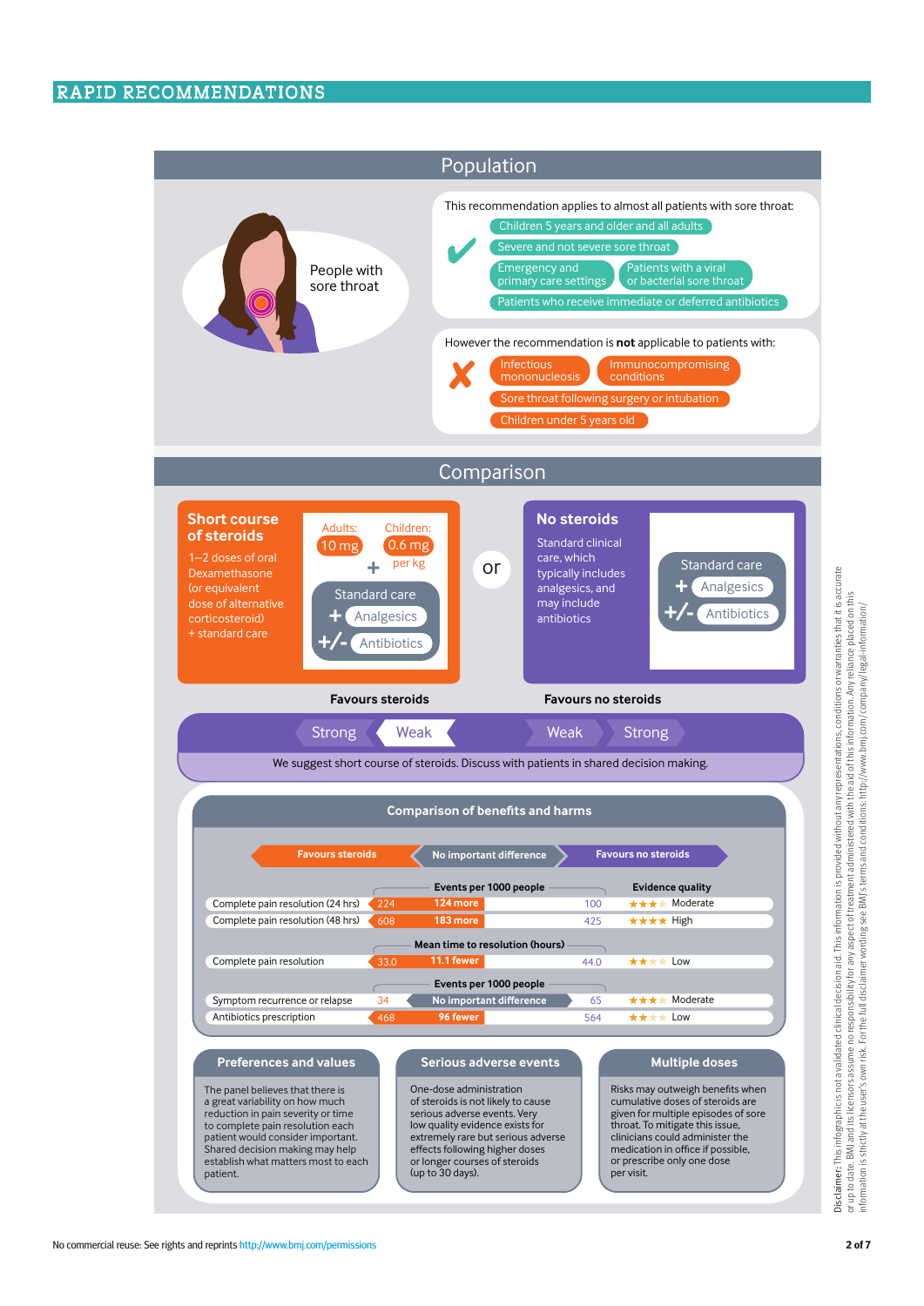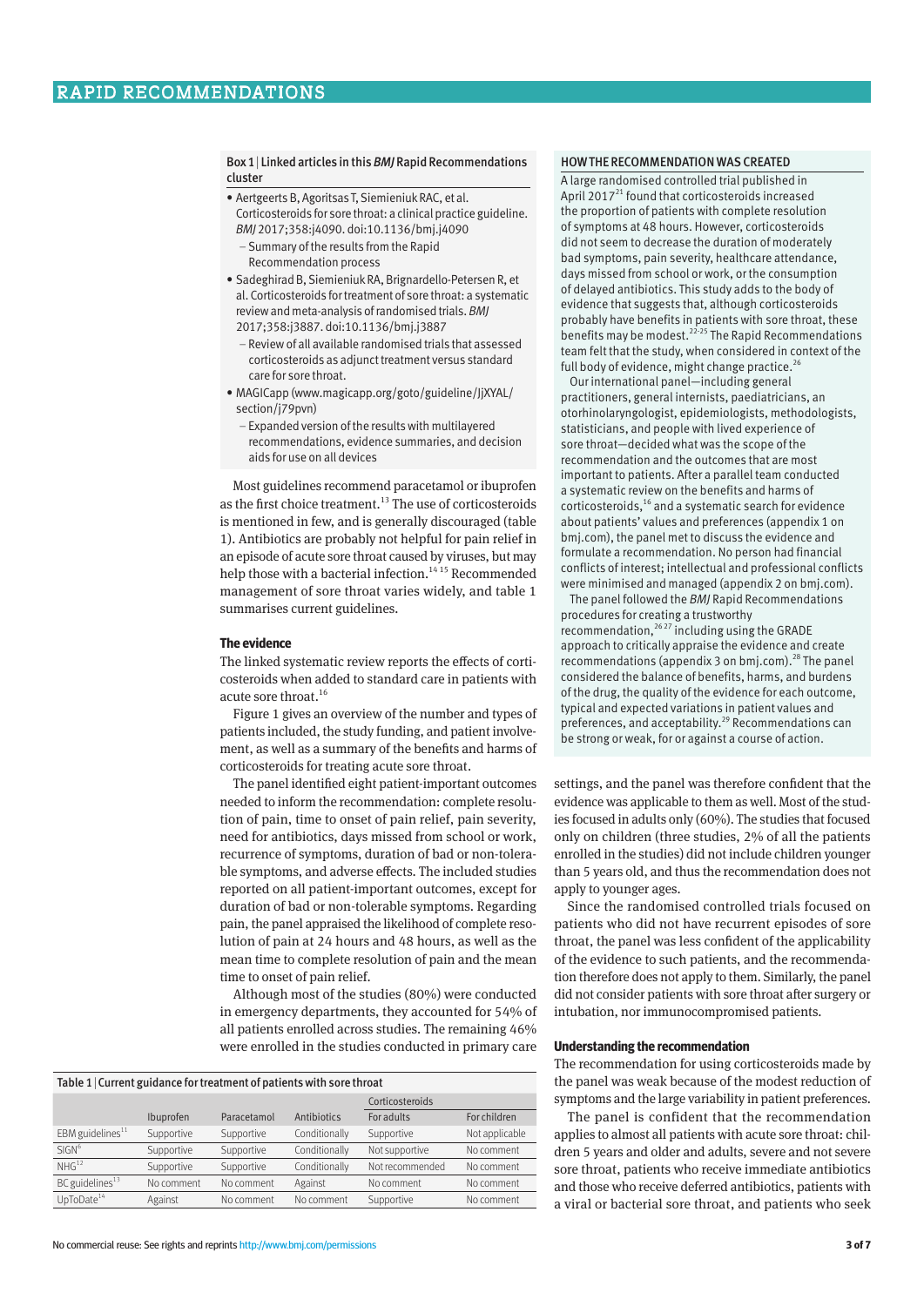Box 1| Linked articles in this *BMJ* Rapid Recommendations cluster

- Aertgeerts B, Agoritsas T, Siemieniuk RAC, et al. Corticosteroids for sore throat: a clinical practice guideline. *BMJ* 2017;358:j4090. doi:10.1136/bmj.j4090
	- Summary of the results from the Rapid Recommendation process
- Sadeghirad B, Siemieniuk RA, Brignardello-Petersen R, et al. Corticosteroids for treatment of sore throat: a systematic review and meta-analysis of randomised trials. *BMJ* 2017;358:j3887. doi:10.1136/bmj.j3887
	- Review of all available randomised trials that assessed corticosteroids as adjunct treatment versus standard care for sore throat.
- MAGICapp (www.magicapp.org/goto/guideline/JjXYAL/ section/j79pvn)
- Expanded version of the results with multilayered recommendations, evidence summaries, and decision aids for use on all devices

Most guidelines recommend paracetamol or ibuprofen as the first choice treatment.<sup>13</sup> The use of corticosteroids is mentioned in few, and is generally discouraged (table 1). Antibiotics are probably not helpful for pain relief in an episode of acute sore throat caused by viruses, but may help those with a bacterial infection.<sup>1415</sup> Recommended management of sore throat varies widely, and table 1 summarises current guidelines.

## **The evidence**

The linked systematic review reports the effects of corticosteroids when added to standard care in patients with acute sore throat.<sup>16</sup>

Figure 1 gives an overview of the number and types of patients included, the study funding, and patient involvement, as well as a summary of the benefits and harms of corticosteroids for treating acute sore throat.

The panel identified eight patient-important outcomes needed to inform the recommendation: complete resolution of pain, time to onset of pain relief, pain severity, need for antibiotics, days missed from school or work, recurrence of symptoms, duration of bad or non-tolerable symptoms, and adverse effects. The included studies reported on all patient-important outcomes, except for duration of bad or non-tolerable symptoms. Regarding pain, the panel appraised the likelihood of complete resolution of pain at 24 hours and 48 hours, as well as the mean time to complete resolution of pain and the mean time to onset of pain relief.

Although most of the studies (80%) were conducted in emergency departments, they accounted for 54% of all patients enrolled across studies. The remaining 46% were enrolled in the studies conducted in primary care

| Table 1   Current guidance for treatment of patients with sore throat |            |             |               |                   |                |
|-----------------------------------------------------------------------|------------|-------------|---------------|-------------------|----------------|
|                                                                       |            |             |               | Corticosteroids   |                |
|                                                                       | Ibuprofen  | Paracetamol | Antibiotics   | <b>For adults</b> | For children   |
| $EBM$ guidelines <sup>11</sup>                                        | Supportive | Supportive  | Conditionally | Supportive        | Not applicable |
| SIGN <sup>6</sup>                                                     | Supportive | Supportive  | Conditionally | Not supportive    | No comment     |
| NHG <sup>12</sup>                                                     | Supportive | Supportive  | Conditionally | Not recommended   | No comment     |
| BC guidelines $13$                                                    | No comment | No comment  | Against       | No comment        | No comment     |
| $UpToDate^{14}$                                                       | Against    | No comment  | No comment    | Supportive        | No comment     |

## HOW THE RECOMMENDATION WAS CREATED

A large randomised controlled trial published in April 2017<sup>21</sup> found that corticosteroids increased the proportion of patients with complete resolution of symptoms at 48 hours. However, corticosteroids did not seem to decrease the duration of moderately bad symptoms, pain severity, healthcare attendance, days missed from school or work, or the consumption of delayed antibiotics. This study adds to the body of evidence that suggests that, although corticosteroids probably have benefits in patients with sore throat, these benefits may be modest.  $2^{2 \cdot 25}$  The Rapid Recommendations team felt that the study, when considered in context of the full body of evidence, might change practice.<sup>2</sup>

Our international panel—including general practitioners, general internists, paediatricians, an otorhinolaryngologist, epidemiologists, methodologists, statisticians, and people with lived experience of sore throat—decided what was the scope of the recommendation and the outcomes that are most important to patients. After a parallel team conducted a systematic review on the benefits and harms of corticosteroids,<sup>16</sup> and a systematic search for evidence about patients' values and preferences (appendix 1 on bmj.com), the panel met to discuss the evidence and formulate a recommendation. No person had financial conflicts of interest; intellectual and professional conflicts were minimised and managed (appendix 2 on bmj.com).

The panel followed the *BMJ* Rapid Recommendations procedures for creating a trustworthy recommendation,  $2627$  including using the GRADE approach to critically appraise the evidence and create recommendations (appendix 3 on bmj.com).<sup>28</sup> The panel considered the balance of benefits, harms, and burdens of the drug, the quality of the evidence for each outcome, typical and expected variations in patient values and preferences, and acceptability.29 Recommendations can be strong or weak, for or against a course of action.

settings, and the panel was therefore confident that the evidence was applicable to them as well. Most of the studies focused in adults only (60%). The studies that focused only on children (three studies, 2% of all the patients enrolled in the studies) did not include children younger than 5 years old, and thus the recommendation does not apply to younger ages.

Since the randomised controlled trials focused on patients who did not have recurrent episodes of sore throat, the panel was less confident of the applicability of the evidence to such patients, and the recommendation therefore does not apply to them. Similarly, the panel did not consider patients with sore throat after surgery or intubation, nor immunocompromised patients.

## **Understanding the recommendation**

The recommendation for using corticosteroids made by the panel was weak because of the modest reduction of symptoms and the large variability in patient preferences.

The panel is confident that the recommendation applies to almost all patients with acute sore throat: children 5 years and older and adults, severe and not severe sore throat, patients who receive immediate antibiotics and those who receive deferred antibiotics, patients with a viral or bacterial sore throat, and patients who seek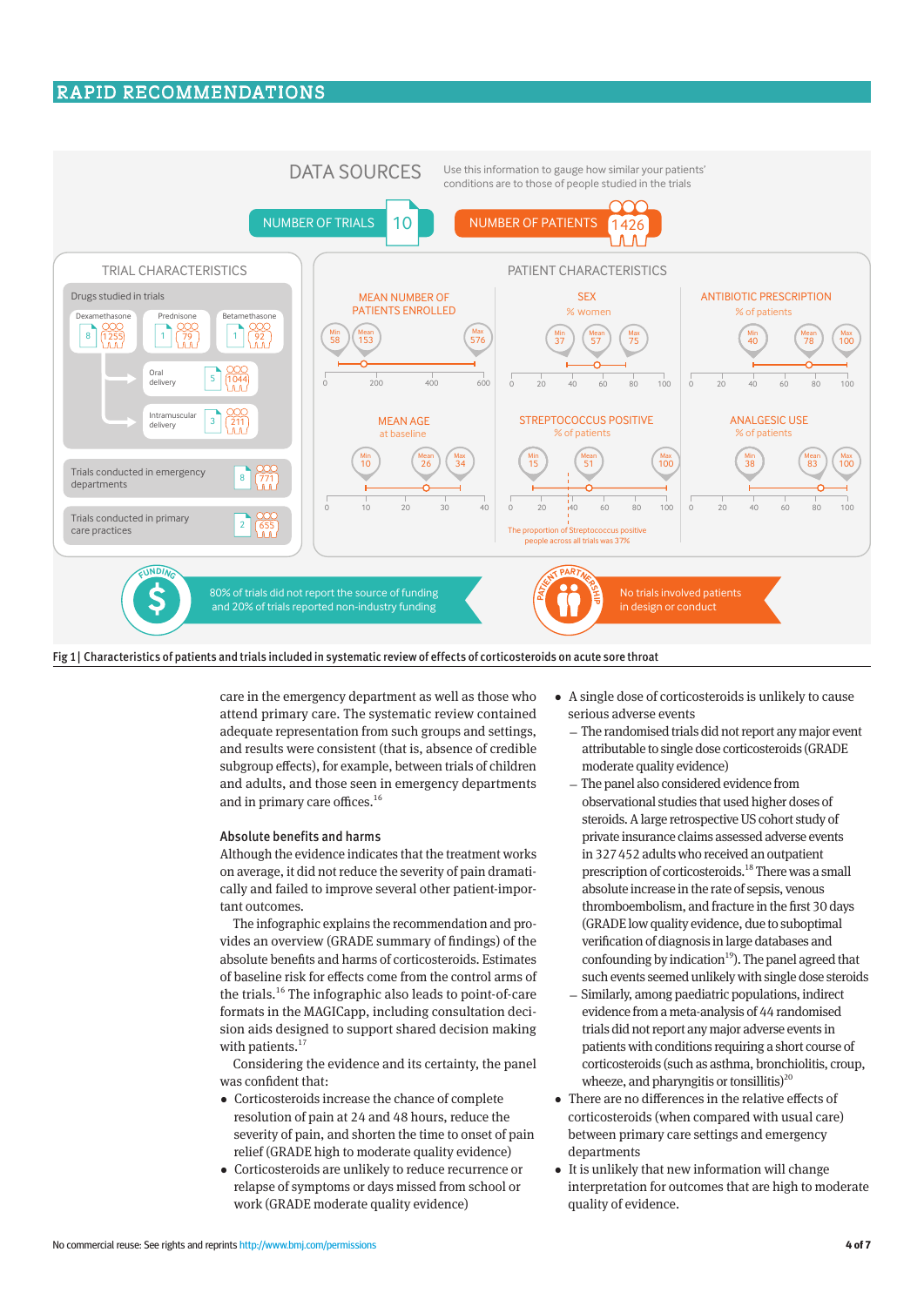# RAPID RECOMMENDATIONS



Fig 1| Characteristics of patients and trials included in systematic review of effects of corticosteroids on acute sore throat

care in the emergency department as well as those who attend primary care. The systematic review contained adequate representation from such groups and settings, and results were consistent (that is, absence of credible subgroup effects), for example, between trials of children and adults, and those seen in emergency departments and in primary care offices.<sup>16</sup>

## Absolute benefits and harms

Although the evidence indicates that the treatment works on average, it did not reduce the severity of pain dramatically and failed to improve several other patient-important outcomes.

The infographic explains the recommendation and provides an overview (GRADE summary of findings) of the absolute benefits and harms of corticosteroids. Estimates of baseline risk for effects come from the control arms of the trials.16 The infographic also leads to point-of-care formats in the MAGICapp, including consultation decision aids designed to support shared decision making with patients. $17$ 

Considering the evidence and its certainty, the panel was confident that:

- •  Corticosteroids increase the chance of complete resolution of pain at 24 and 48 hours, reduce the severity of pain, and shorten the time to onset of pain relief (GRADE high to moderate quality evidence)
- •  Corticosteroids are unlikely to reduce recurrence or relapse of symptoms or days missed from school or work (GRADE moderate quality evidence)
- •  A single dose of corticosteroids is unlikely to cause serious adverse events
	- The randomised trials did not report any major event attributable to single dose corticosteroids (GRADE moderate quality evidence)
	- The panel also considered evidence from observational studies that used higher doses of steroids. A large retrospective US cohort study of private insurance claims assessed adverse events in 327452 adults who received an outpatient prescription of corticosteroids.<sup>18</sup> There was a small absolute increase in the rate of sepsis, venous thromboembolism, and fracture in the first 30 days (GRADE low quality evidence, due to suboptimal verification of diagnosis in large databases and confounding by indication<sup>19</sup>). The panel agreed that such events seemed unlikely with single dose steroids
	- Similarly, among paediatric populations, indirect evidence from a meta-analysis of 44 randomised trials did not report any major adverse events in patients with conditions requiring a short course of corticosteroids (such as asthma, bronchiolitis, croup, wheeze, and pharyngitis or tonsillitis)<sup>20</sup>
- •  There are no differences in the relative effects of corticosteroids (when compared with usual care) between primary care settings and emergency departments
- It is unlikely that new information will change interpretation for outcomes that are high to moderate quality of evidence.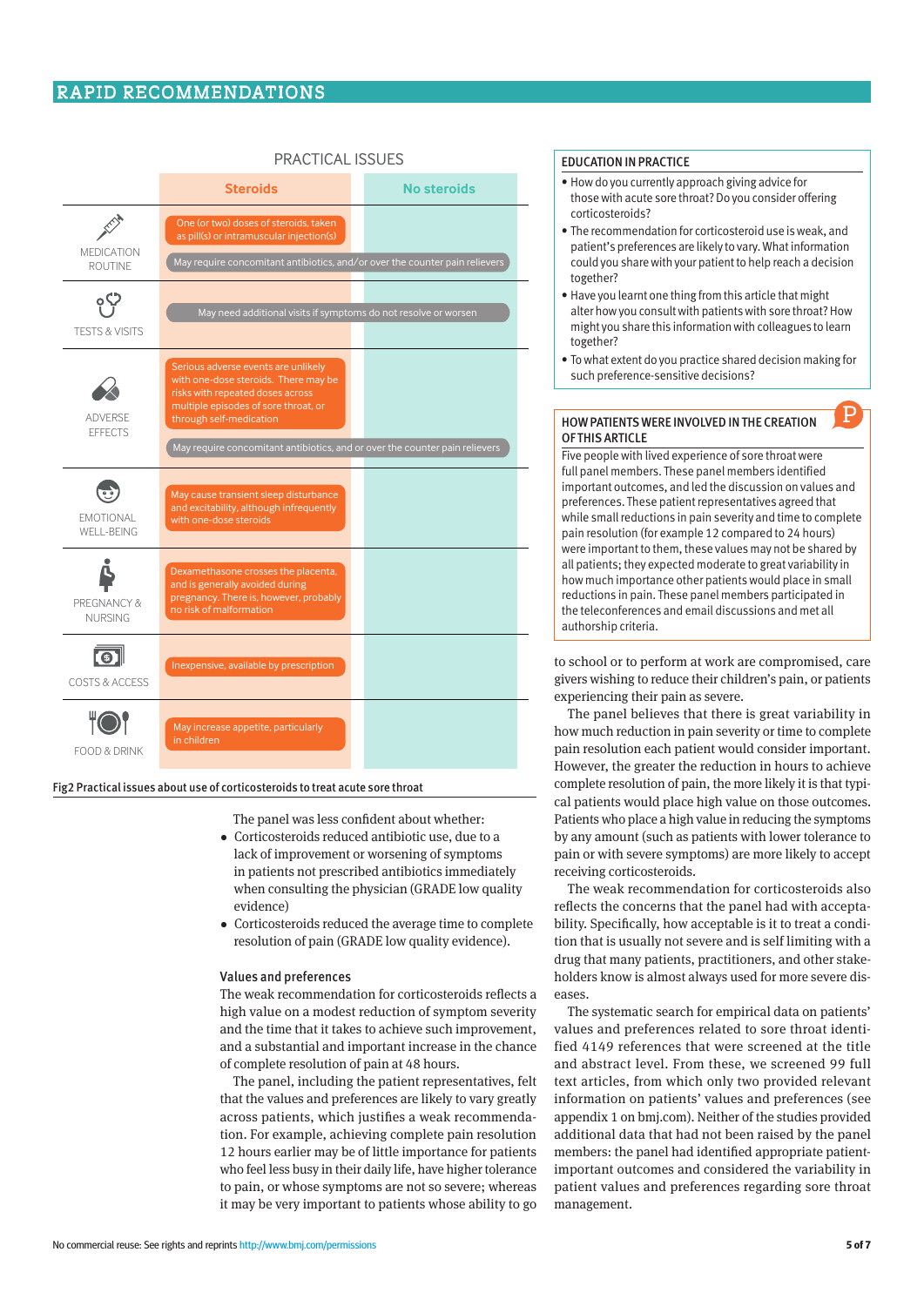# RAPID RECOMMENDATIONS



Fig2 Practical issues about use of corticosteroids to treat acute sore throat

The panel was less confident about whether:

- •  Corticosteroids reduced antibiotic use, due to a lack of improvement or worsening of symptoms in patients not prescribed antibiotics immediately when consulting the physician (GRADE low quality evidence)
- •  Corticosteroids reduced the average time to complete resolution of pain (GRADE low quality evidence).

## Values and preferences

The weak recommendation for corticosteroids reflects a high value on a modest reduction of symptom severity and the time that it takes to achieve such improvement, and a substantial and important increase in the chance of complete resolution of pain at 48 hours.

The panel, including the patient representatives, felt that the values and preferences are likely to vary greatly across patients, which justifies a weak recommendation. For example, achieving complete pain resolution 12 hours earlier may be of little importance for patients who feel less busy in their daily life, have higher tolerance to pain, or whose symptoms are not so severe; whereas it may be very important to patients whose ability to go

## EDUCATION IN PRACTICE

- How do you currently approach giving advice for those with acute sore throat? Do you consider offering corticosteroids?
- The recommendation for corticosteroid use is weak, and patient's preferences are likely to vary. What information could you share with your patient to help reach a decision together?
- Have you learnt one thing from this article that might alter how you consult with patients with sore throat? How might you share this information with colleagues to learn together?
- To what extent do you practice shared decision making for such preference-sensitive decisions?

P

## HOW PATIENTS WERE INVOLVED IN THE CREATION OF THIS ARTICLE

Five people with lived experience of sore throat were full panel members. These panel members identified important outcomes, and led the discussion on values and preferences. These patient representatives agreed that while small reductions in pain severity and time to complete pain resolution (for example 12 compared to 24 hours) were important to them, these values may not be shared by all patients; they expected moderate to great variability in how much importance other patients would place in small reductions in pain. These panel members participated in the teleconferences and email discussions and met all authorship criteria.

to school or to perform at work are compromised, care givers wishing to reduce their children's pain, or patients experiencing their pain as severe.

The panel believes that there is great variability in how much reduction in pain severity or time to complete pain resolution each patient would consider important. However, the greater the reduction in hours to achieve complete resolution of pain, the more likely it is that typical patients would place high value on those outcomes. Patients who place a high value in reducing the symptoms by any amount (such as patients with lower tolerance to pain or with severe symptoms) are more likely to accept receiving corticosteroids.

The weak recommendation for corticosteroids also reflects the concerns that the panel had with acceptability. Specifically, how acceptable is it to treat a condition that is usually not severe and is self limiting with a drug that many patients, practitioners, and other stakeholders know is almost always used for more severe diseases.

The systematic search for empirical data on patients' values and preferences related to sore throat identified 4149 references that were screened at the title and abstract level. From these, we screened 99 full text articles, from which only two provided relevant information on patients' values and preferences (see appendix 1 on bmj.com). Neither of the studies provided additional data that had not been raised by the panel members: the panel had identified appropriate patientimportant outcomes and considered the variability in patient values and preferences regarding sore throat management.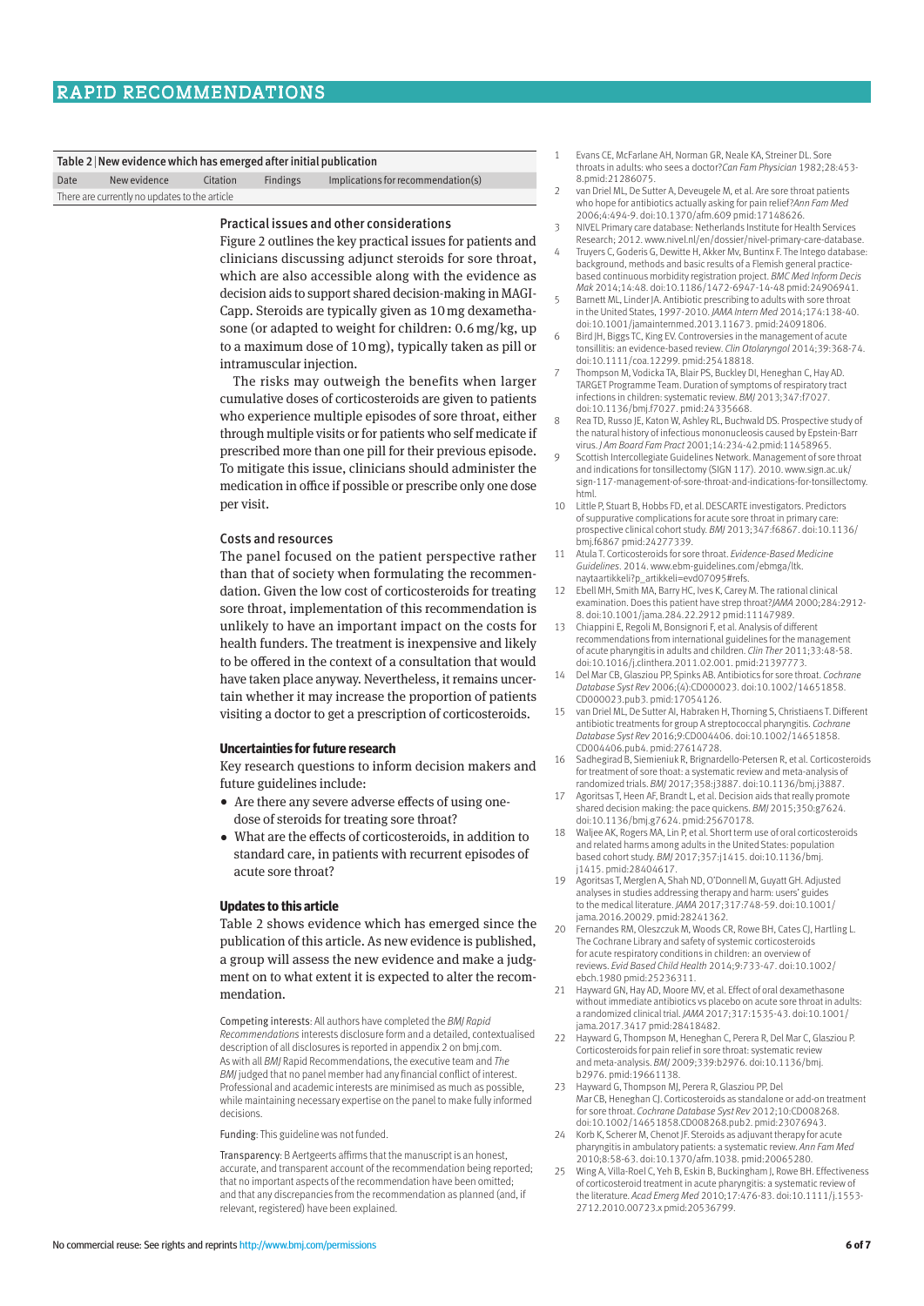#### Table 2|New evidence which has emerged after initial publication

Date New evidence Citation Findings Implications for recommendation(s) There are currently no updates to the article

## Practical issues and other considerations

Figure 2 outlines the key practical issues for patients and clinicians discussing adjunct steroids for sore throat, which are also accessible along with the evidence as decision aids to support shared decision-making in MAGI-Capp. Steroids are typically given as 10mg dexamethasone (or adapted to weight for children: 0.6 mg/kg, up to a maximum dose of 10mg), typically taken as pill or intramuscular injection.

The risks may outweigh the benefits when larger cumulative doses of corticosteroids are given to patients who experience multiple episodes of sore throat, either through multiple visits or for patients who self medicate if prescribed more than one pill for their previous episode. To mitigate this issue, clinicians should administer the medication in office if possible or prescribe only one dose per visit.

## Costs and resources

The panel focused on the patient perspective rather than that of society when formulating the recommendation. Given the low cost of corticosteroids for treating sore throat, implementation of this recommendation is unlikely to have an important impact on the costs for health funders. The treatment is inexpensive and likely to be offered in the context of a consultation that would have taken place anyway. Nevertheless, it remains uncertain whether it may increase the proportion of patients visiting a doctor to get a prescription of corticosteroids.

### **Uncertainties for future research**

Key research questions to inform decision makers and future guidelines include:

- Are there any severe adverse effects of using onedose of steroids for treating sore throat?
- •  What are the effects of corticosteroids, in addition to standard care, in patients with recurrent episodes of acute sore throat?

### **Updates to this article**

Table 2 shows evidence which has emerged since the publication of this article. As new evidence is published, a group will assess the new evidence and make a judgment on to what extent it is expected to alter the recommendation.

Competing interests: All authors have completed the *BMJ Rapid Recommendations* interests disclosure form and a detailed, contextualised description of all disclosures is reported in appendix 2 on bmj.com. As with all *BMJ* Rapid Recommendations, the executive team and *The BMJ* judged that no panel member had any financial conflict of interest. Professional and academic interests are minimised as much as possible, while maintaining necessary expertise on the panel to make fully informed decisions.

Funding: This guideline was not funded.

Transparency: B Aertgeerts affirms that the manuscript is an honest, accurate, and transparent account of the recommendation being reported; that no important aspects of the recommendation have been omitted; and that any discrepancies from the recommendation as planned (and, if relevant, registered) have been explained.

- 1 Evans CE, McFarlane AH, Norman GR, Neale KA, Streiner DL. Sore throats in adults: who sees a doctor?*Can Fam Physician* 1982;28:453- 8.pmid:21286075.
- van Driel ML, De Sutter A, Deveugele M, et al. Are sore throat patients who hope for antibiotics actually asking for pain relief?*Ann Fam Med* 2006;4:494-9. doi:10.1370/afm.609 pmid:17148626. 3 NIVEL Primary care database: Netherlands Institute for Health Services
- Research; 2012. www.nivel.nl/en/dossier/nivel-primary-care-database. Truyers C, Goderis G, Dewitte H, Akker Mv, Buntinx F. The Intego database: background, methods and basic results of a Flemish general practice-based continuous morbidity registration project. *BMC Med Inform Decis*
- *Mak* 2014;14:48. doi:10.1186/1472-6947-14-48 pmid:24906941. 5 Barnett ML, Linder JA. Antibiotic prescribing to adults with sore throat in the United States, 1997-2010. *JAMA Intern Med* 2014;174:138-40. doi:10.1001/jamainternmed.2013.11673. pmid:24091806.
- 6 Bird JH, Biggs TC, King EV. Controversies in the management of acute tonsillitis: an evidence-based review. *Clin Otolaryngol* 2014;39:368-74. doi:10.1111/coa.12299. pmid:25418818.
- 7 Thompson M, Vodicka TA, Blair PS, Buckley DI, Heneghan C, Hay AD. TARGET Programme Team. Duration of symptoms of respiratory tract infections in children: systematic review. *BMJ* 2013;347:f7027. doi:10.1136/bmj.f7027. pmid:24335668.
- 8 Rea TD, Russo JE, Katon W, Ashley RL, Buchwald DS. Prospective study of the natural history of infectious mononucleosis caused by Epstein-Barr virus. *J Am Board Fam Pract* 2001;14:234-42.pmid:11458965.
- Scottish Intercollegiate Guidelines Network. Management of sore throat and indications for tonsillectomy (SIGN 117). 2010. www.sign.ac.uk/ sign-117-management-of-sore-throat-and-indications-for-tonsillectomy. html.
- 10 Little P, Stuart B, Hobbs FD, et al. DESCARTE investigators. Predictors of suppurative complications for acute sore throat in primary care: prospective clinical cohort study. *BMJ* 2013;347:f6867. doi:10.1136/ bmj.f6867 pmid:24277339.
- 11 Atula T. Corticosteroids for sore throat. *Evidence-Based Medicine Guidelines*. 2014. www.ebm-guidelines.com/ebmga/ltk. naytaartikkeli?p\_artikkeli=evd07095#refs.
- 12 Ebell MH, Smith MA, Barry HC, Ives K, Carey M. The rational clinical examination. Does this patient have strep throat?*JAMA* 2000;284:2912- 8. doi:10.1001/jama.284.22.2912 pmid:11147989.
- 13 Chiappini E, Regoli M, Bonsignori F, et al. Analysis of different recommendations from international guidelines for the management of acute pharyngitis in adults and children. *Clin Ther* 2011;33:48-58. doi:10.1016/j.clinthera.2011.02.001. pmid:21397773.
- 14 Del Mar CB, Glasziou PP, Spinks AB. Antibiotics for sore throat. *Cochrane Database Syst Rev* 2006;(4):CD000023. doi:10.1002/14651858. CD000023.pub3. pmid:17054126.
- 15 van Driel ML, De Sutter AI, Habraken H, Thorning S, Christiaens T. Different antibiotic treatments for group A streptococcal pharyngitis. *Cochrane Database Syst Rev* 2016;9:CD004406. doi:10.1002/14651858. CD004406.pub4. pmid:27614728.
- 16 Sadhegirad B, Siemieniuk R, Brignardello-Petersen R, et al. Corticosteroids for treatment of sore thoat: a systematic review and meta-analysis of randomized trials. *BMJ* 2017;358:j3887. doi:10.1136/bmj.j3887.
- Agoritsas T, Heen AF, Brandt L, et al. Decision aids that really promote shared decision making: the pace quickens. *BMJ* 2015;350:g7624.
- doi:10.1136/bmj.g7624. pmid:25670178. 18 Waljee AK, Rogers MA, Lin P, et al. Short term use of oral corticosteroids and related harms among adults in the United States: population based cohort study. *BMJ* 2017;357:j1415. doi:10.1136/bmj. j1415. pmid:28404617.
- 19 Agoritsas T, Merglen A, Shah ND, O'Donnell M, Guyatt GH. Adjusted analyses in studies addressing therapy and harm: users' guides to the medical literature. *JAMA* 2017;317:748-59. doi:10.1001/ jama.2016.20029. pmid:28241362.
- 20 Fernandes RM, Oleszczuk M, Woods CR, Rowe BH, Cates CJ, Hartling L. The Cochrane Library and safety of systemic corticosteroids for acute respiratory conditions in children: an overview of reviews. *Evid Based Child Health* 2014;9:733-47. doi:10.1002/ ebch.1980 pmid:25236311.
- 21 Hayward GN, Hay AD, Moore MV, et al. Effect of oral dexamethasone without immediate antibiotics vs placebo on acute sore throat in adults: a randomized clinical trial. *JAMA* 2017;317:1535-43. doi:10.1001/ jama.2017.3417 pmid:28418482.
- 22 Hayward G, Thompson M, Heneghan C, Perera R, Del Mar C, Glasziou P. Corticosteroids for pain relief in sore throat: systematic review and meta-analysis. *BMJ* 2009;339:b2976. doi:10.1136/bmj. b2976. pmid:19661138.
- 23 Hayward G, Thompson MJ, Perera R, Glasziou PP, Del Mar CB, Heneghan CJ. Corticosteroids as standalone or add-on treatment for sore throat. *Cochrane Database Syst Rev* 2012;10:CD008268. doi:10.1002/14651858.CD008268.pub2. pmid:23076943.
- 24 Korb K, Scherer M, Chenot JF. Steroids as adjuvant therapy for acute pharyngitis in ambulatory patients: a systematic review. *Ann Fam Med* 2010;8:58-63. doi:10.1370/afm.1038. pmid:20065280.
- 25 Wing A, Villa-Roel C, Yeh B, Eskin B, Buckingham J, Rowe BH. Effectiveness of corticosteroid treatment in acute pharyngitis: a systematic review of the literature. *Acad Emerg Med* 2010;17:476-83. doi:10.1111/j.1553- 2712.2010.00723.x pmid:20536799.